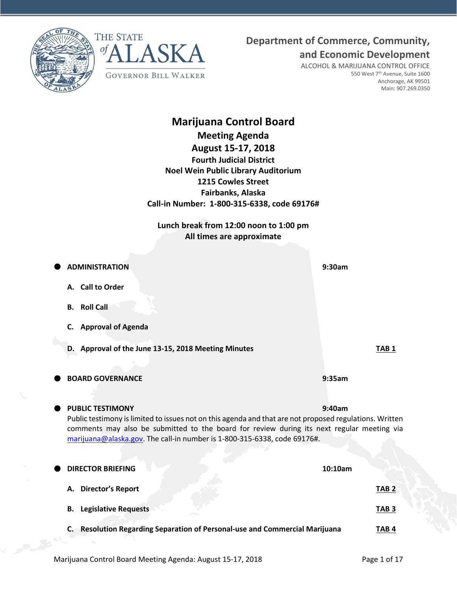



## **Department of Commerce, Community,**

**and Economic Development**

ALCOHOL & MARIJUANA CONTROL OFFICE 550 West 7<sup>th</sup> Avenue, Suite 1600 Anchorage, AK 99501 Main: 907.269.0350

# **Marijuana Control Board Meeting Agenda August 15-17, 2018 Fourth Judicial District Noel Wein Public Library Auditorium 1215 Cowles Street Fairbanks, Alaska Call-in Number: 1-800-315-6338, code 69176# Lunch break from 12:00 noon to 1:00 pm All times are approximate ADMINISTRATION 9:30am A. Call to Order B. Roll Call C. Approval of Agenda D.** Approval of the June 13-15, 2018 Meeting Minutes **TAB 1 BOARD GOVERNANCE 9:35am PUBLIC TESTIMONY 9:40am** Public testimony is limited to issues not on this agenda and that are not proposed regulations. Written comments may also be submitted to the board for review during its next regular meeting via [marijuana@alaska.gov.](mailto:marijuana@alaska.gov) The call-in number is 1-800-315-6338, code 69176#. **DIRECTOR BRIEFING 10:10am A. Director's Report TAB 2 B. Legislative Requests TAB 3**

**C. Resolution Regarding Separation of Personal-use and Commercial Marijuana TAB 4**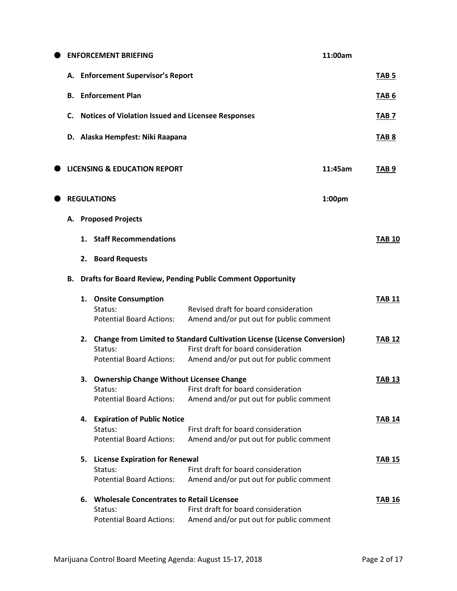|   |                                    | <b>ENFORCEMENT BRIEFING</b>                                                                    |                                                                                                                                                                   | 11:00am |                  |
|---|------------------------------------|------------------------------------------------------------------------------------------------|-------------------------------------------------------------------------------------------------------------------------------------------------------------------|---------|------------------|
|   | A. Enforcement Supervisor's Report |                                                                                                |                                                                                                                                                                   |         | TAB <sub>5</sub> |
|   | В.                                 | <b>Enforcement Plan</b>                                                                        |                                                                                                                                                                   |         | TAB <sub>6</sub> |
|   | C.                                 | <b>Notices of Violation Issued and Licensee Responses</b>                                      |                                                                                                                                                                   |         | TAB 7            |
|   |                                    | D. Alaska Hempfest: Niki Raapana                                                               |                                                                                                                                                                   |         | <b>TAB 8</b>     |
|   |                                    | <b>LICENSING &amp; EDUCATION REPORT</b>                                                        |                                                                                                                                                                   | 11:45am | TAB <sub>9</sub> |
| ۰ |                                    | <b>REGULATIONS</b>                                                                             |                                                                                                                                                                   | 1:00pm  |                  |
|   | А.                                 | <b>Proposed Projects</b>                                                                       |                                                                                                                                                                   |         |                  |
|   | 1.                                 | <b>Staff Recommendations</b>                                                                   |                                                                                                                                                                   |         | <b>TAB 10</b>    |
|   | 2.                                 | <b>Board Requests</b>                                                                          |                                                                                                                                                                   |         |                  |
|   | В.                                 |                                                                                                | <b>Drafts for Board Review, Pending Public Comment Opportunity</b>                                                                                                |         |                  |
|   | 1.                                 | <b>Onsite Consumption</b><br>Status:<br><b>Potential Board Actions:</b>                        | Revised draft for board consideration<br>Amend and/or put out for public comment                                                                                  |         | <b>TAB 11</b>    |
|   | 2.                                 | Status:<br><b>Potential Board Actions:</b>                                                     | <b>Change from Limited to Standard Cultivation License (License Conversion)</b><br>First draft for board consideration<br>Amend and/or put out for public comment |         | <b>TAB 12</b>    |
|   | з.                                 | <b>Ownership Change Without Licensee Change</b><br>Status:<br><b>Potential Board Actions:</b>  | First draft for board consideration<br>Amend and/or put out for public comment                                                                                    |         | <b>TAB 13</b>    |
|   | 4.                                 | <b>Expiration of Public Notice</b><br>Status:<br><b>Potential Board Actions:</b>               | First draft for board consideration<br>Amend and/or put out for public comment                                                                                    |         | <b>TAB 14</b>    |
|   | 5.                                 | <b>License Expiration for Renewal</b><br>Status:<br><b>Potential Board Actions:</b>            | First draft for board consideration<br>Amend and/or put out for public comment                                                                                    |         | <b>TAB 15</b>    |
|   | 6.                                 | <b>Wholesale Concentrates to Retail Licensee</b><br>Status:<br><b>Potential Board Actions:</b> | First draft for board consideration<br>Amend and/or put out for public comment                                                                                    |         | <b>TAB 16</b>    |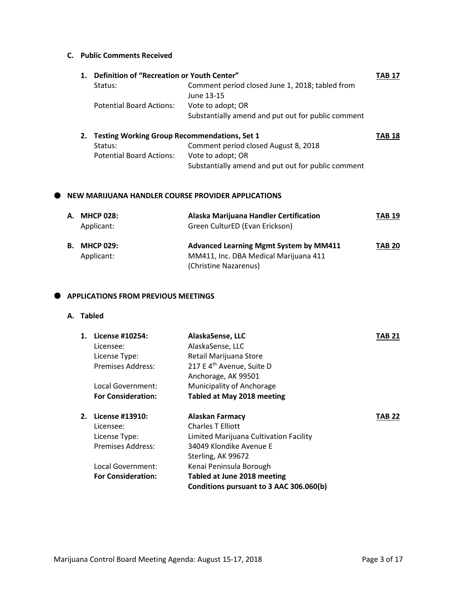#### **C. Public Comments Received**

|    | Definition of "Recreation or Youth Center"          |                                                    | TAB 17        |
|----|-----------------------------------------------------|----------------------------------------------------|---------------|
|    | Status:                                             | Comment period closed June 1, 2018; tabled from    |               |
|    |                                                     | June 13-15                                         |               |
|    | <b>Potential Board Actions:</b>                     | Vote to adopt; OR                                  |               |
|    |                                                     | Substantially amend and put out for public comment |               |
| 2. | <b>Testing Working Group Recommendations, Set 1</b> |                                                    | <b>TAB 18</b> |
|    | Status:                                             | Comment period closed August 8, 2018               |               |
|    | <b>Potential Board Actions:</b>                     | Vote to adopt; OR                                  |               |

# Substantially amend and put out for public comment

#### **NEW MARIJUANA HANDLER COURSE PROVIDER APPLICATIONS**

| А. | <b>MHCP 028:</b><br>Applicant: | Alaska Marijuana Handler Certification<br>Green CulturED (Evan Erickson)                                        | <b>TAB 19</b> |
|----|--------------------------------|-----------------------------------------------------------------------------------------------------------------|---------------|
| В. | <b>MHCP 029:</b><br>Applicant: | <b>Advanced Learning Mgmt System by MM411</b><br>MM411, Inc. DBA Medical Marijuana 411<br>(Christine Nazarenus) | <b>TAB 20</b> |

#### $\bullet$  APPLICATIONS FROM PREVIOUS MEETINGS

#### **A. Tabled**

| 1. | License #10254:           | AlaskaSense, LLC                        | TAB 21 |
|----|---------------------------|-----------------------------------------|--------|
|    | Licensee:                 | AlaskaSense, LLC                        |        |
|    | License Type:             | Retail Marijuana Store                  |        |
|    | Premises Address:         | 217 E 4 <sup>th</sup> Avenue, Suite D   |        |
|    |                           | Anchorage, AK 99501                     |        |
|    | Local Government:         | Municipality of Anchorage               |        |
|    | <b>For Consideration:</b> | <b>Tabled at May 2018 meeting</b>       |        |
| 2. | License #13910:           | <b>Alaskan Farmacy</b>                  | TAB 22 |
|    | Licensee:                 | <b>Charles T Filiott</b>                |        |
|    | License Type:             | Limited Marijuana Cultivation Facility  |        |
|    | Premises Address:         | 34049 Klondike Avenue E                 |        |
|    |                           | Sterling, AK 99672                      |        |
|    | Local Government:         | Kenai Peninsula Borough                 |        |
|    | <b>For Consideration:</b> | Tabled at June 2018 meeting             |        |
|    |                           | Conditions pursuant to 3 AAC 306.060(b) |        |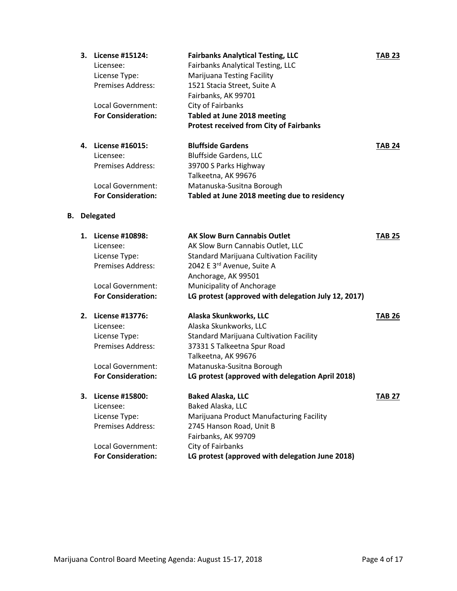| 3. | License #15124:           | <b>Fairbanks Analytical Testing, LLC</b>       | <b>TAB 23</b> |
|----|---------------------------|------------------------------------------------|---------------|
|    | Licensee:                 | Fairbanks Analytical Testing, LLC              |               |
|    | License Type:             | <b>Marijuana Testing Facility</b>              |               |
|    | <b>Premises Address:</b>  | 1521 Stacia Street, Suite A                    |               |
|    |                           | Fairbanks, AK 99701                            |               |
|    | Local Government:         | City of Fairbanks                              |               |
|    | <b>For Consideration:</b> | Tabled at June 2018 meeting                    |               |
|    |                           | <b>Protest received from City of Fairbanks</b> |               |
| 4. | License #16015:           | <b>Bluffside Gardens</b>                       | <b>TAB 24</b> |
|    | $1.5 - 1.7 - 1.7 - 1.7$   |                                                |               |

| <b>For Consideration:</b> | Tabled at June 2018 meeting due to residency |
|---------------------------|----------------------------------------------|
| Local Government:         | Matanuska-Susitna Borough                    |
|                           | Talkeetna, AK 99676                          |
| <b>Premises Address:</b>  | 39700 S Parks Highway                        |
| Licensee:                 | <b>Bluffside Gardens, LLC</b>                |
|                           |                                              |

### **B. Delegated**

| 1. | License #10898:           | <b>AK Slow Burn Cannabis Outlet</b>                 | <b>TAB 25</b> |
|----|---------------------------|-----------------------------------------------------|---------------|
|    | Licensee:                 | AK Slow Burn Cannabis Outlet, LLC                   |               |
|    | License Type:             | <b>Standard Marijuana Cultivation Facility</b>      |               |
|    | Premises Address:         | 2042 E 3rd Avenue, Suite A                          |               |
|    |                           | Anchorage, AK 99501                                 |               |
|    | Local Government:         | Municipality of Anchorage                           |               |
|    | <b>For Consideration:</b> | LG protest (approved with delegation July 12, 2017) |               |
| 2. | License #13776:           | Alaska Skunkworks, LLC                              | <b>TAB 26</b> |
|    | Licensee:                 | Alaska Skunkworks, LLC                              |               |
|    | License Type:             | Standard Marijuana Cultivation Facility             |               |
|    | Premises Address:         | 37331 S Talkeetna Spur Road                         |               |
|    |                           | Talkeetna, AK 99676                                 |               |
|    | Local Government:         | Matanuska-Susitna Borough                           |               |
|    | <b>For Consideration:</b> | LG protest (approved with delegation April 2018)    |               |
| 3. | License #15800:           | <b>Baked Alaska, LLC</b>                            | <b>TAB 27</b> |
|    | Licensee:                 | Baked Alaska, LLC                                   |               |
|    | License Type:             | Marijuana Product Manufacturing Facility            |               |
|    | Premises Address:         | 2745 Hanson Road, Unit B                            |               |
|    |                           | Fairbanks, AK 99709                                 |               |
|    | Local Government:         | City of Fairbanks                                   |               |
|    | <b>For Consideration:</b> | LG protest (approved with delegation June 2018)     |               |
|    |                           |                                                     |               |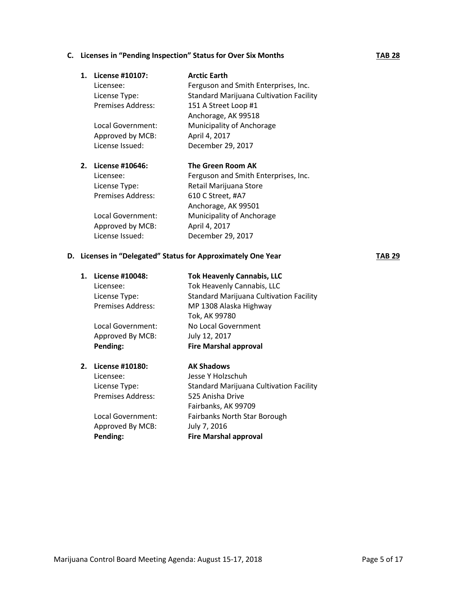#### **C.** Licenses in "Pending Inspection" Status for Over Six Months **TAB 28**

| 1. | License #10107:   | <b>Arctic Earth</b>                            |
|----|-------------------|------------------------------------------------|
|    | Licensee:         | Ferguson and Smith Enterprises, Inc.           |
|    | License Type:     | <b>Standard Marijuana Cultivation Facility</b> |
|    | Premises Address: | 151 A Street Loop #1                           |
|    |                   | Anchorage, AK 99518                            |
|    | Local Government: | Municipality of Anchorage                      |
|    | Approved by MCB:  | April 4, 2017                                  |
|    | License Issued:   | December 29, 2017                              |
| 2. | License #10646:   | The Green Room AK                              |
|    | Licensee:         | Ferguson and Smith Enterprises, Inc.           |
|    | License Type:     | Retail Marijuana Store                         |
|    | Premises Address: | 610 C Street, #A7                              |
|    |                   | Anchorage, AK 99501                            |
|    | Local Government: | Municipality of Anchorage                      |
|    | Approved by MCB:  | April 4, 2017                                  |
|    | License Issued:   | December 29, 2017                              |

#### **D.** Licenses in "Delegated" Status for Approximately One Year **TAB 29**

| 1. | License #10048:          | <b>Tok Heavenly Cannabis, LLC</b>              |
|----|--------------------------|------------------------------------------------|
|    | Licensee:                | Tok Heavenly Cannabis, LLC                     |
|    | License Type:            | Standard Marijuana Cultivation Facility        |
|    | Premises Address:        | MP 1308 Alaska Highway                         |
|    |                          | Tok, AK 99780                                  |
|    | Local Government:        | No Local Government                            |
|    | Approved By MCB:         | July 12, 2017                                  |
|    | Pending:                 | <b>Fire Marshal approval</b>                   |
| 2. | License #10180:          | <b>AK Shadows</b>                              |
|    | Licensee:                | Jesse Y Holzschuh                              |
|    | License Type:            | <b>Standard Marijuana Cultivation Facility</b> |
|    | <b>Premises Address:</b> | 525 Anisha Drive                               |
|    |                          | Fairbanks, AK 99709                            |
|    | Local Government:        | Fairbanks North Star Borough                   |
|    | Approved By MCB:         | July 7, 2016                                   |
|    | Pending:                 | <b>Fire Marshal approval</b>                   |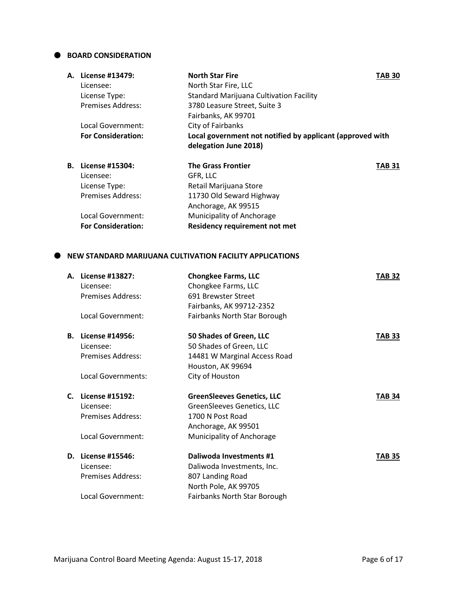#### **BOARD CONSIDERATION**

| А. | License #13479:           | <b>North Star Fire</b>                                                             | TAB 30 |
|----|---------------------------|------------------------------------------------------------------------------------|--------|
|    | Licensee:                 | North Star Fire, LLC                                                               |        |
|    | License Type:             | <b>Standard Marijuana Cultivation Facility</b>                                     |        |
|    | Premises Address:         | 3780 Leasure Street, Suite 3                                                       |        |
|    |                           | Fairbanks, AK 99701                                                                |        |
|    | Local Government:         | City of Fairbanks                                                                  |        |
|    | <b>For Consideration:</b> | Local government not notified by applicant (approved with<br>delegation June 2018) |        |
|    | <b>B.</b> License #15304: | <b>The Grass Frontier</b>                                                          | TAB 31 |
|    | Licensee:                 | GFR, LLC                                                                           |        |
|    | License Type:             | Retail Marijuana Store                                                             |        |
|    | <b>Premises Address:</b>  | 11730 Old Seward Highway                                                           |        |
|    |                           | Anchorage, AK 99515                                                                |        |
|    | Local Government:         | Municipality of Anchorage                                                          |        |
|    | <b>For Consideration:</b> | <b>Residency requirement not met</b>                                               |        |

#### **NEW STANDARD MARIJUANA CULTIVATION FACILITY APPLICATIONS**

| А. | License #13827:<br>Licensee: | <b>Chongkee Farms, LLC</b><br>Chongkee Farms, LLC | <b>TAB 32</b> |
|----|------------------------------|---------------------------------------------------|---------------|
|    | <b>Premises Address:</b>     | 691 Brewster Street                               |               |
|    |                              | Fairbanks, AK 99712-2352                          |               |
|    | Local Government:            | Fairbanks North Star Borough                      |               |
| В. | License #14956:              | 50 Shades of Green, LLC                           | <b>TAB 33</b> |
|    | Licensee:                    | 50 Shades of Green, LLC                           |               |
|    | <b>Premises Address:</b>     | 14481 W Marginal Access Road                      |               |
|    |                              | Houston, AK 99694                                 |               |
|    | Local Governments:           | City of Houston                                   |               |
| С. | License #15192:              | <b>GreenSleeves Genetics, LLC</b>                 | <b>TAB 34</b> |
|    | Licensee:                    | GreenSleeves Genetics, LLC                        |               |
|    | Premises Address:            | 1700 N Post Road                                  |               |
|    |                              | Anchorage, AK 99501                               |               |
|    | Local Government:            | Municipality of Anchorage                         |               |
| D. | License #15546:              | Daliwoda Investments #1                           | <b>TAB 35</b> |
|    | Licensee:                    | Daliwoda Investments, Inc.                        |               |
|    | <b>Premises Address:</b>     | 807 Landing Road                                  |               |
|    |                              | North Pole, AK 99705                              |               |
|    | Local Government:            | Fairbanks North Star Borough                      |               |
|    |                              |                                                   |               |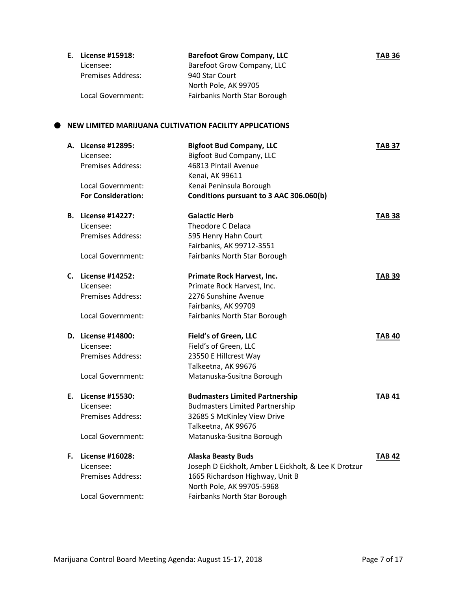| E. License #15918:       | <b>Barefoot Grow Company, LLC</b> | <b>TAB 36</b> |
|--------------------------|-----------------------------------|---------------|
| Licensee:                | Barefoot Grow Company, LLC        |               |
| <b>Premises Address:</b> | 940 Star Court                    |               |
|                          | North Pole, AK 99705              |               |
| Local Government:        | Fairbanks North Star Borough      |               |

#### **NEW LIMITED MARIJUANA CULTIVATION FACILITY APPLICATIONS**

|    | A. License #12895:<br>Licensee:<br><b>Premises Address:</b> | <b>Bigfoot Bud Company, LLC</b><br><b>Bigfoot Bud Company, LLC</b><br>46813 Pintail Avenue<br>Kenai, AK 99611 | <b>TAB 37</b> |
|----|-------------------------------------------------------------|---------------------------------------------------------------------------------------------------------------|---------------|
|    | Local Government:                                           | Kenai Peninsula Borough                                                                                       |               |
|    | <b>For Consideration:</b>                                   | Conditions pursuant to 3 AAC 306.060(b)                                                                       |               |
|    | <b>B.</b> License #14227:                                   | <b>Galactic Herb</b>                                                                                          | <b>TAB 38</b> |
|    | Licensee:                                                   | <b>Theodore C Delaca</b>                                                                                      |               |
|    | <b>Premises Address:</b>                                    | 595 Henry Hahn Court                                                                                          |               |
|    |                                                             | Fairbanks, AK 99712-3551                                                                                      |               |
|    | Local Government:                                           | Fairbanks North Star Borough                                                                                  |               |
|    | C. License #14252:                                          | Primate Rock Harvest, Inc.                                                                                    | <b>TAB 39</b> |
|    | Licensee:                                                   | Primate Rock Harvest, Inc.                                                                                    |               |
|    | Premises Address:                                           | 2276 Sunshine Avenue                                                                                          |               |
|    |                                                             | Fairbanks, AK 99709                                                                                           |               |
|    | Local Government:                                           | Fairbanks North Star Borough                                                                                  |               |
|    | D. License #14800:                                          | Field's of Green, LLC                                                                                         | <b>TAB 40</b> |
|    | Licensee:                                                   | Field's of Green, LLC                                                                                         |               |
|    | <b>Premises Address:</b>                                    | 23550 E Hillcrest Way                                                                                         |               |
|    |                                                             | Talkeetna, AK 99676                                                                                           |               |
|    | Local Government:                                           | Matanuska-Susitna Borough                                                                                     |               |
| Е. | License #15530:                                             | <b>Budmasters Limited Partnership</b>                                                                         | <b>TAB 41</b> |
|    | Licensee:                                                   | <b>Budmasters Limited Partnership</b>                                                                         |               |
|    | <b>Premises Address:</b>                                    | 32685 S McKinley View Drive                                                                                   |               |
|    |                                                             | Talkeetna, AK 99676                                                                                           |               |
|    | Local Government:                                           | Matanuska-Susitna Borough                                                                                     |               |
| F. | License #16028:                                             | <b>Alaska Beasty Buds</b>                                                                                     | <b>TAB 42</b> |
|    | Licensee:                                                   | Joseph D Eickholt, Amber L Eickholt, & Lee K Drotzur                                                          |               |
|    | <b>Premises Address:</b>                                    | 1665 Richardson Highway, Unit B                                                                               |               |
|    |                                                             | North Pole, AK 99705-5968                                                                                     |               |
|    | Local Government:                                           | Fairbanks North Star Borough                                                                                  |               |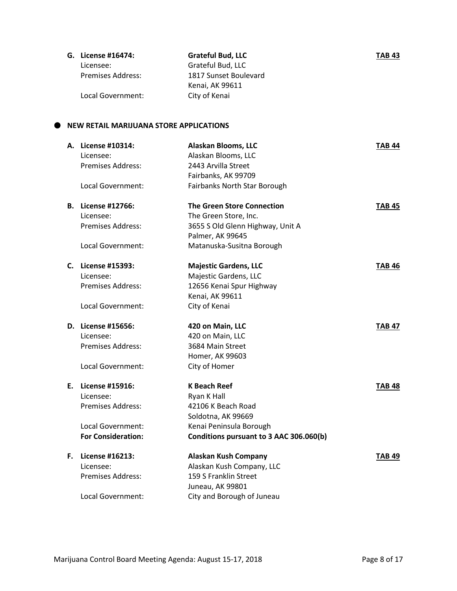|                          | <b>Grateful Bud, LLC</b> | <b>TAB 43</b> |
|--------------------------|--------------------------|---------------|
| Licensee:                | Grateful Bud, LLC        |               |
| <b>Premises Address:</b> | 1817 Sunset Boulevard    |               |
|                          | Kenai, AK 99611          |               |
| Local Government:        | City of Kenai            |               |
|                          | G. License #16474:       |               |

#### **NEW RETAIL MARIJUANA STORE APPLICATIONS**

| A. License #10314:        | <b>Alaskan Blooms, LLC</b>              | <b>TAB 44</b> |
|---------------------------|-----------------------------------------|---------------|
| Licensee:                 | Alaskan Blooms, LLC                     |               |
| Premises Address:         | 2443 Arvilla Street                     |               |
|                           | Fairbanks, AK 99709                     |               |
| Local Government:         | Fairbanks North Star Borough            |               |
| <b>B.</b> License #12766: | <b>The Green Store Connection</b>       | <b>TAB 45</b> |
| Licensee:                 | The Green Store, Inc.                   |               |
| <b>Premises Address:</b>  | 3655 S Old Glenn Highway, Unit A        |               |
|                           | Palmer, AK 99645                        |               |
| Local Government:         | Matanuska-Susitna Borough               |               |
| C. License #15393:        | <b>Majestic Gardens, LLC</b>            | <b>TAB 46</b> |
| Licensee:                 | Majestic Gardens, LLC                   |               |
| <b>Premises Address:</b>  | 12656 Kenai Spur Highway                |               |
|                           | Kenai, AK 99611                         |               |
| Local Government:         | City of Kenai                           |               |
| D. License #15656:        | 420 on Main, LLC                        | <b>TAB 47</b> |
| Licensee:                 | 420 on Main, LLC                        |               |
| Premises Address:         | 3684 Main Street                        |               |
|                           | Homer, AK 99603                         |               |
| Local Government:         | City of Homer                           |               |
| E. License #15916:        | <b>K Beach Reef</b>                     | TAB 48        |
| Licensee:                 | Ryan K Hall                             |               |
| <b>Premises Address:</b>  | 42106 K Beach Road                      |               |
|                           | Soldotna, AK 99669                      |               |
| Local Government:         | Kenai Peninsula Borough                 |               |
| <b>For Consideration:</b> | Conditions pursuant to 3 AAC 306.060(b) |               |
| F. License #16213:        | <b>Alaskan Kush Company</b>             | <b>TAB 49</b> |
| Licensee:                 | Alaskan Kush Company, LLC               |               |
| <b>Premises Address:</b>  | 159 S Franklin Street                   |               |
|                           | Juneau, AK 99801                        |               |
| Local Government:         | City and Borough of Juneau              |               |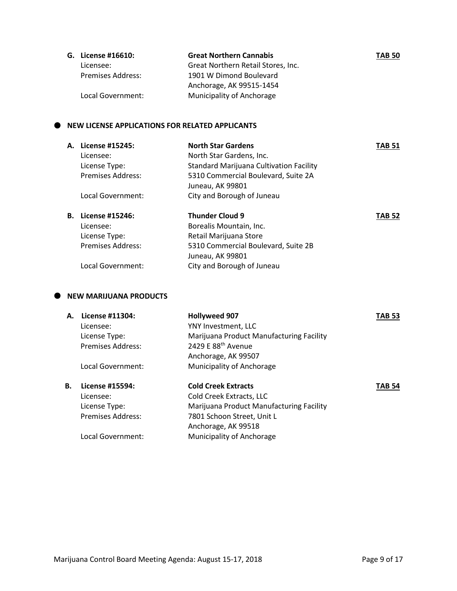| G. License #16610: | <b>Great Northern Cannabis</b>     | <b>TAB 50</b> |
|--------------------|------------------------------------|---------------|
| Licensee:          | Great Northern Retail Stores, Inc. |               |
| Premises Address:  | 1901 W Dimond Boulevard            |               |
|                    | Anchorage, AK 99515-1454           |               |
| Local Government:  | Municipality of Anchorage          |               |

#### $\bullet$  NEW LICENSE APPLICATIONS FOR RELATED APPLICANTS

| А. | License #15245:<br>Licensee:<br>License Type:<br>Premises Address:<br>Local Government: | <b>North Star Gardens</b><br>North Star Gardens, Inc.<br><b>Standard Marijuana Cultivation Facility</b><br>5310 Commercial Boulevard, Suite 2A<br>Juneau, AK 99801<br>City and Borough of Juneau | TAB 51        |
|----|-----------------------------------------------------------------------------------------|--------------------------------------------------------------------------------------------------------------------------------------------------------------------------------------------------|---------------|
| В. | License #15246:<br>Licensee:<br>License Type:<br>Premises Address:<br>Local Government: | <b>Thunder Cloud 9</b><br>Borealis Mountain, Inc.<br>Retail Marijuana Store<br>5310 Commercial Boulevard, Suite 2B<br>Juneau, AK 99801<br>City and Borough of Juneau                             | <b>TAB 52</b> |

#### $\bullet$  NEW MARIJUANA PRODUCTS

| А. | License #11304:          | <b>Hollyweed 907</b>                     | <b>TAB 53</b> |
|----|--------------------------|------------------------------------------|---------------|
|    | Licensee:                | YNY Investment, LLC                      |               |
|    | License Type:            | Marijuana Product Manufacturing Facility |               |
|    | Premises Address:        | 2429 E 88th Avenue                       |               |
|    |                          | Anchorage, AK 99507                      |               |
|    | Local Government:        | Municipality of Anchorage                |               |
| В. | License #15594:          | <b>Cold Creek Extracts</b>               | <b>TAB 54</b> |
|    | Licensee:                | Cold Creek Extracts, LLC                 |               |
|    | License Type:            | Marijuana Product Manufacturing Facility |               |
|    | <b>Premises Address:</b> | 7801 Schoon Street, Unit L               |               |
|    |                          | Anchorage, AK 99518                      |               |
|    | Local Government:        | Municipality of Anchorage                |               |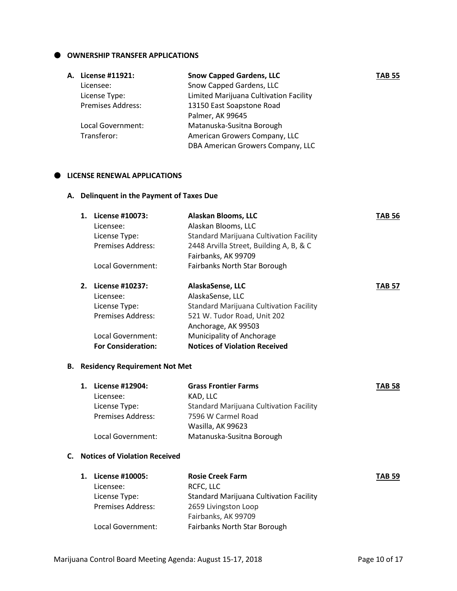$\bullet$  OWNERSHIP TRANSFER APPLICATIONS

| A. License #11921:       | <b>Snow Capped Gardens, LLC</b>        | <b>TAB 55</b> |
|--------------------------|----------------------------------------|---------------|
| Licensee:                | Snow Capped Gardens, LLC               |               |
| License Type:            | Limited Marijuana Cultivation Facility |               |
| <b>Premises Address:</b> | 13150 East Soapstone Road              |               |
|                          | Palmer, AK 99645                       |               |
| Local Government:        | Matanuska-Susitna Borough              |               |
| Transferor:              | American Growers Company, LLC          |               |
|                          | DBA American Growers Company, LLC      |               |
|                          |                                        |               |

#### **LICENSE RENEWAL APPLICATIONS**

#### **A. Delinquent in the Payment of Taxes Due**

| 1. | License #10073:          | Alaskan Blooms, LLC                            | TAB 56 |
|----|--------------------------|------------------------------------------------|--------|
|    | Licensee:                | Alaskan Blooms, LLC                            |        |
|    | License Type:            | <b>Standard Marijuana Cultivation Facility</b> |        |
|    | Premises Address:        | 2448 Arvilla Street, Building A, B, & C        |        |
|    |                          | Fairbanks, AK 99709                            |        |
|    | Local Government:        | Fairbanks North Star Borough                   |        |
| 2. | License #10237:          | AlaskaSense, LLC                               | TAB 57 |
|    | Licensee:                | AlaskaSense, LLC                               |        |
|    | License Type:            | <b>Standard Marijuana Cultivation Facility</b> |        |
|    | <b>Premises Address:</b> | 521 W. Tudor Road, Unit 202                    |        |
|    |                          | Anchorage, AK 99503                            |        |

| Local Government:         | Municipality of Anchorage            |
|---------------------------|--------------------------------------|
| <b>For Consideration:</b> | <b>Notices of Violation Received</b> |

#### **B. Residency Requirement Not Met**

| 1. | License #12904:          | <b>Grass Frontier Farms</b>                    | <b>TAB 58</b> |
|----|--------------------------|------------------------------------------------|---------------|
|    | Licensee:                | KAD, LLC                                       |               |
|    | License Type:            | <b>Standard Marijuana Cultivation Facility</b> |               |
|    | <b>Premises Address:</b> | 7596 W Carmel Road                             |               |
|    |                          | Wasilla, AK 99623                              |               |
|    | Local Government:        | Matanuska-Susitna Borough                      |               |

#### **C. Notices of Violation Received**

|                          | <b>Rosie Creek Farm</b>                        | <b>TAB 59</b> |
|--------------------------|------------------------------------------------|---------------|
| Licensee:                | RCFC, LLC                                      |               |
| License Type:            | <b>Standard Marijuana Cultivation Facility</b> |               |
| <b>Premises Address:</b> | 2659 Livingston Loop                           |               |
|                          | Fairbanks, AK 99709                            |               |
| Local Government:        | <b>Fairbanks North Star Borough</b>            |               |
|                          | License #10005:                                |               |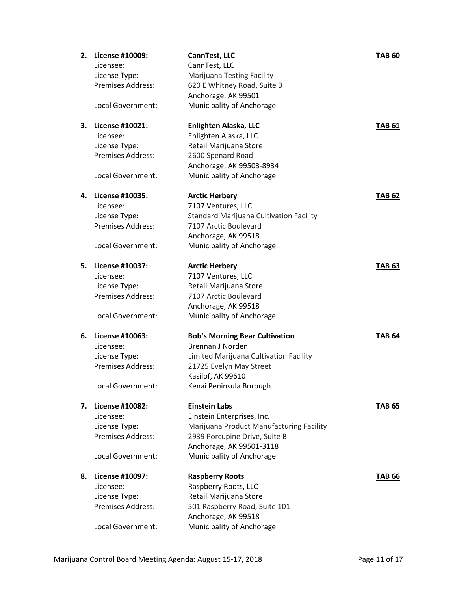| 2. | License #10009:          | CannTest, LLC                            | <b>TAB 60</b> |
|----|--------------------------|------------------------------------------|---------------|
|    | Licensee:                | CannTest, LLC                            |               |
|    | License Type:            | <b>Marijuana Testing Facility</b>        |               |
|    | Premises Address:        | 620 E Whitney Road, Suite B              |               |
|    |                          | Anchorage, AK 99501                      |               |
|    | Local Government:        | Municipality of Anchorage                |               |
|    |                          |                                          |               |
| 3. | License #10021:          | Enlighten Alaska, LLC                    | <b>TAB 61</b> |
|    | Licensee:                | Enlighten Alaska, LLC                    |               |
|    | License Type:            | Retail Marijuana Store                   |               |
|    | Premises Address:        | 2600 Spenard Road                        |               |
|    |                          | Anchorage, AK 99503-8934                 |               |
|    | Local Government:        | Municipality of Anchorage                |               |
|    |                          |                                          |               |
| 4. | License #10035:          | <b>Arctic Herbery</b>                    | <b>TAB 62</b> |
|    | Licensee:                | 7107 Ventures, LLC                       |               |
|    | License Type:            | Standard Marijuana Cultivation Facility  |               |
|    | Premises Address:        | 7107 Arctic Boulevard                    |               |
|    |                          | Anchorage, AK 99518                      |               |
|    | Local Government:        | Municipality of Anchorage                |               |
|    |                          |                                          |               |
| 5. | License #10037:          | <b>Arctic Herbery</b>                    | <b>TAB 63</b> |
|    | Licensee:                | 7107 Ventures, LLC                       |               |
|    | License Type:            | Retail Marijuana Store                   |               |
|    | Premises Address:        | 7107 Arctic Boulevard                    |               |
|    |                          | Anchorage, AK 99518                      |               |
|    | Local Government:        | Municipality of Anchorage                |               |
| 6. | License #10063:          | <b>Bob's Morning Bear Cultivation</b>    | <b>TAB 64</b> |
|    | Licensee:                | Brennan J Norden                         |               |
|    | License Type:            | Limited Marijuana Cultivation Facility   |               |
|    | <b>Premises Address:</b> | 21725 Evelyn May Street                  |               |
|    |                          | Kasilof, AK 99610                        |               |
|    | Local Government:        | Kenai Peninsula Borough                  |               |
|    |                          |                                          |               |
| 7. | <b>License #10082:</b>   | <b>Einstein Labs</b>                     | <b>TAB 65</b> |
|    | Licensee:                | Einstein Enterprises, Inc.               |               |
|    | License Type:            | Marijuana Product Manufacturing Facility |               |
|    | Premises Address:        | 2939 Porcupine Drive, Suite B            |               |
|    |                          | Anchorage, AK 99501-3118                 |               |
|    | Local Government:        | Municipality of Anchorage                |               |
|    |                          |                                          |               |
| 8. | License #10097:          | <b>Raspberry Roots</b>                   | TAB 66        |
|    | Licensee:                | Raspberry Roots, LLC                     |               |
|    | License Type:            | Retail Marijuana Store                   |               |
|    | Premises Address:        | 501 Raspberry Road, Suite 101            |               |
|    |                          | Anchorage, AK 99518                      |               |
|    | Local Government:        | Municipality of Anchorage                |               |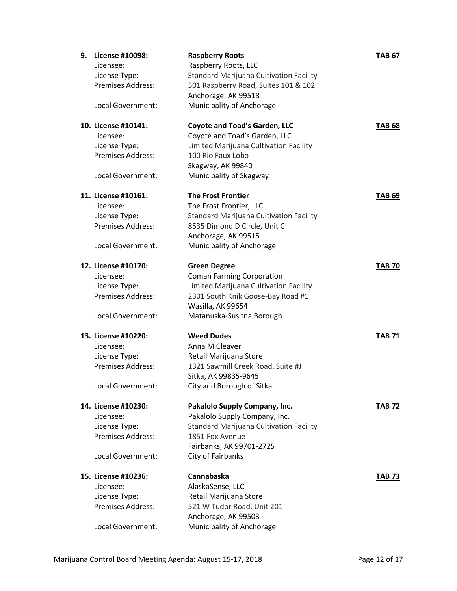| 9. | License #10098:<br>Licensee:<br>License Type:<br><b>Premises Address:</b><br><b>Local Government:</b>     | <b>Raspberry Roots</b><br>Raspberry Roots, LLC<br><b>Standard Marijuana Cultivation Facility</b><br>501 Raspberry Road, Suites 101 & 102<br>Anchorage, AK 99518<br>Municipality of Anchorage | <b>TAB 67</b> |
|----|-----------------------------------------------------------------------------------------------------------|----------------------------------------------------------------------------------------------------------------------------------------------------------------------------------------------|---------------|
|    | 10. License #10141:<br>Licensee:<br>License Type:<br><b>Premises Address:</b><br>Local Government:        | <b>Coyote and Toad's Garden, LLC</b><br>Coyote and Toad's Garden, LLC<br>Limited Marijuana Cultivation Facility<br>100 Rio Faux Lobo<br>Skagway, AK 99840<br>Municipality of Skagway         | <b>TAB 68</b> |
|    | 11. License #10161:<br>Licensee:<br>License Type:<br><b>Premises Address:</b><br>Local Government:        | <b>The Frost Frontier</b><br>The Frost Frontier, LLC<br><b>Standard Marijuana Cultivation Facility</b><br>8535 Dimond D Circle, Unit C<br>Anchorage, AK 99515<br>Municipality of Anchorage   | <b>TAB 69</b> |
|    | 12. License #10170:<br>Licensee:<br>License Type:<br>Premises Address:<br>Local Government:               | <b>Green Degree</b><br><b>Coman Farming Corporation</b><br>Limited Marijuana Cultivation Facility<br>2301 South Knik Goose-Bay Road #1<br>Wasilla, AK 99654<br>Matanuska-Susitna Borough     | <b>TAB 70</b> |
|    | 13. License #10220:<br>Licensee:<br>License Type:<br>Premises Address:<br>Local Government:               | <b>Weed Dudes</b><br>Anna M Cleaver<br>Retail Marijuana Store<br>1321 Sawmill Creek Road, Suite #J<br>Sitka, AK 99835-9645<br>City and Borough of Sitka                                      | <b>TAB 71</b> |
|    | 14. License #10230:<br>Licensee:<br>License Type:<br><b>Premises Address:</b><br><b>Local Government:</b> | Pakalolo Supply Company, Inc.<br>Pakalolo Supply Company, Inc.<br>Standard Marijuana Cultivation Facility<br>1851 Fox Avenue<br>Fairbanks, AK 99701-2725<br>City of Fairbanks                | <b>TAB 72</b> |
|    | 15. License #10236:<br>Licensee:<br>License Type:<br><b>Premises Address:</b><br>Local Government:        | Cannabaska<br>AlaskaSense, LLC<br>Retail Marijuana Store<br>521 W Tudor Road, Unit 201<br>Anchorage, AK 99503<br>Municipality of Anchorage                                                   | <b>TAB 73</b> |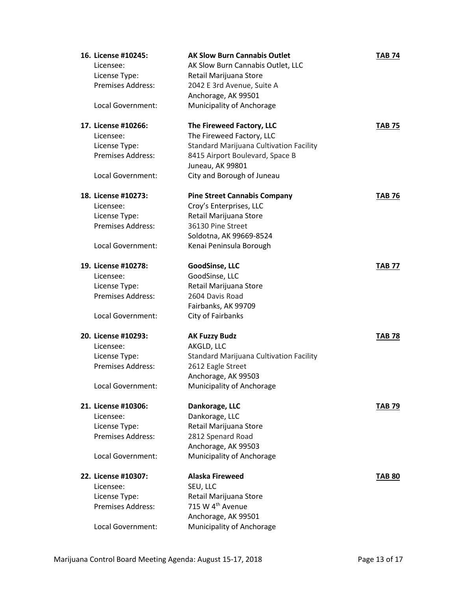| 16. License #10245:<br>Licensee:<br>License Type:<br>Premises Address:<br>Local Government:        | <b>AK Slow Burn Cannabis Outlet</b><br>AK Slow Burn Cannabis Outlet, LLC<br>Retail Marijuana Store<br>2042 E 3rd Avenue, Suite A<br>Anchorage, AK 99501<br>Municipality of Anchorage          | <b>TAB 74</b> |
|----------------------------------------------------------------------------------------------------|-----------------------------------------------------------------------------------------------------------------------------------------------------------------------------------------------|---------------|
| 17. License #10266:<br>Licensee:<br>License Type:<br><b>Premises Address:</b><br>Local Government: | The Fireweed Factory, LLC<br>The Fireweed Factory, LLC<br><b>Standard Marijuana Cultivation Facility</b><br>8415 Airport Boulevard, Space B<br>Juneau, AK 99801<br>City and Borough of Juneau | <b>TAB 75</b> |
| 18. License #10273:<br>Licensee:<br>License Type:<br><b>Premises Address:</b><br>Local Government: | <b>Pine Street Cannabis Company</b><br>Croy's Enterprises, LLC<br>Retail Marijuana Store<br>36130 Pine Street<br>Soldotna, AK 99669-8524<br>Kenai Peninsula Borough                           | <b>TAB 76</b> |
| 19. License #10278:<br>Licensee:<br>License Type:<br>Premises Address:<br>Local Government:        | <b>GoodSinse, LLC</b><br>GoodSinse, LLC<br>Retail Marijuana Store<br>2604 Davis Road<br>Fairbanks, AK 99709<br>City of Fairbanks                                                              | <b>TAB 77</b> |
| 20. License #10293:<br>Licensee:<br>License Type:<br>Premises Address:<br>Local Government:        | <b>AK Fuzzy Budz</b><br>AKGLD, LLC<br><b>Standard Marijuana Cultivation Facility</b><br>2612 Eagle Street<br>Anchorage, AK 99503<br>Municipality of Anchorage                                 | <b>TAB 78</b> |
| 21. License #10306:<br>Licensee:<br>License Type:<br><b>Premises Address:</b><br>Local Government: | Dankorage, LLC<br>Dankorage, LLC<br>Retail Marijuana Store<br>2812 Spenard Road<br>Anchorage, AK 99503<br>Municipality of Anchorage                                                           | <b>TAB 79</b> |
| 22. License #10307:<br>Licensee:<br>License Type:<br>Premises Address:<br>Local Government:        | <b>Alaska Fireweed</b><br>SEU, LLC<br>Retail Marijuana Store<br>715 W 4 <sup>th</sup> Avenue<br>Anchorage, AK 99501<br>Municipality of Anchorage                                              | <b>TAB 80</b> |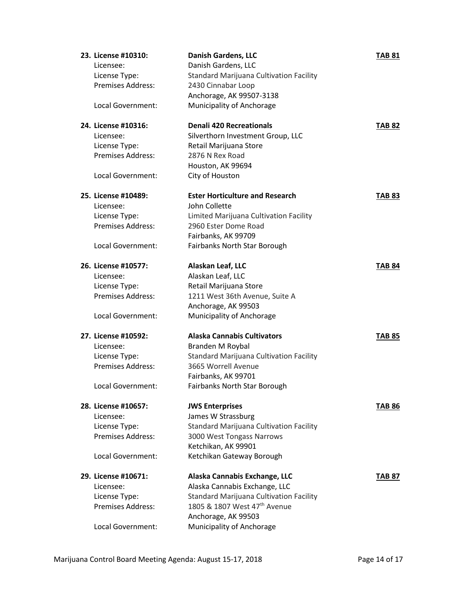| 23. License #10310:      | <b>Danish Gardens, LLC</b>                     | <b>TAB 81</b> |
|--------------------------|------------------------------------------------|---------------|
| Licensee:                | Danish Gardens, LLC                            |               |
| License Type:            | <b>Standard Marijuana Cultivation Facility</b> |               |
| <b>Premises Address:</b> | 2430 Cinnabar Loop                             |               |
|                          | Anchorage, AK 99507-3138                       |               |
| Local Government:        | Municipality of Anchorage                      |               |
| 24. License #10316:      | <b>Denali 420 Recreationals</b>                | <b>TAB 82</b> |
| Licensee:                | Silverthorn Investment Group, LLC              |               |
| License Type:            | Retail Marijuana Store                         |               |
| <b>Premises Address:</b> | 2876 N Rex Road                                |               |
|                          | Houston, AK 99694                              |               |
| Local Government:        | City of Houston                                |               |
| 25. License #10489:      | <b>Ester Horticulture and Research</b>         | <b>TAB 83</b> |
| Licensee:                | John Collette                                  |               |
| License Type:            | Limited Marijuana Cultivation Facility         |               |
| Premises Address:        | 2960 Ester Dome Road                           |               |
|                          | Fairbanks, AK 99709                            |               |
| Local Government:        | Fairbanks North Star Borough                   |               |
| 26. License #10577:      | Alaskan Leaf, LLC                              | <b>TAB 84</b> |
| Licensee:                | Alaskan Leaf, LLC                              |               |
| License Type:            | Retail Marijuana Store                         |               |
| Premises Address:        | 1211 West 36th Avenue, Suite A                 |               |
|                          | Anchorage, AK 99503                            |               |
| Local Government:        | Municipality of Anchorage                      |               |
| 27. License #10592:      | <b>Alaska Cannabis Cultivators</b>             | TAB 85        |
| Licensee:                | Branden M Roybal                               |               |
| License Type:            | Standard Marijuana Cultivation Facility        |               |
| <b>Premises Address:</b> | 3665 Worrell Avenue                            |               |
|                          | Fairbanks, AK 99701                            |               |
| Local Government:        | Fairbanks North Star Borough                   |               |
| 28. License #10657:      | <b>JWS Enterprises</b>                         | TAB 86        |
| Licensee:                | James W Strassburg                             |               |
| License Type:            | <b>Standard Marijuana Cultivation Facility</b> |               |
| Premises Address:        | 3000 West Tongass Narrows                      |               |
|                          | Ketchikan, AK 99901                            |               |
| Local Government:        | Ketchikan Gateway Borough                      |               |
| 29. License #10671:      | Alaska Cannabis Exchange, LLC                  | TAB 87        |
| Licensee:                | Alaska Cannabis Exchange, LLC                  |               |
| License Type:            | Standard Marijuana Cultivation Facility        |               |
| Premises Address:        | 1805 & 1807 West 47 <sup>th</sup> Avenue       |               |
|                          | Anchorage, AK 99503                            |               |
| Local Government:        | Municipality of Anchorage                      |               |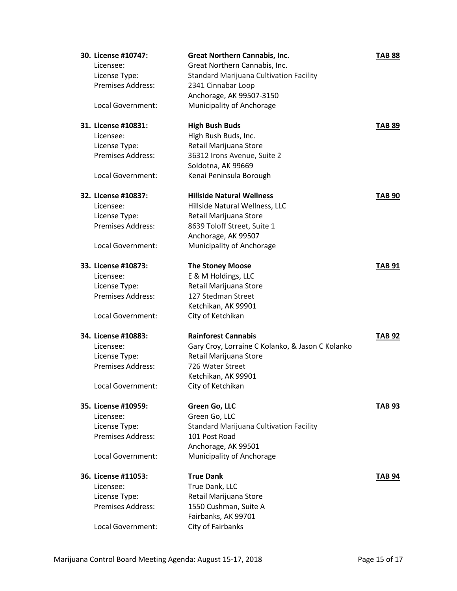| 30. License #10747:      | <b>Great Northern Cannabis, Inc.</b>             | <b>TAB 88</b> |
|--------------------------|--------------------------------------------------|---------------|
| Licensee:                | Great Northern Cannabis, Inc.                    |               |
| License Type:            | <b>Standard Marijuana Cultivation Facility</b>   |               |
| <b>Premises Address:</b> | 2341 Cinnabar Loop                               |               |
|                          | Anchorage, AK 99507-3150                         |               |
| <b>Local Government:</b> | Municipality of Anchorage                        |               |
|                          |                                                  |               |
| 31. License #10831:      | <b>High Bush Buds</b>                            | <b>TAB 89</b> |
| Licensee:                | High Bush Buds, Inc.                             |               |
| License Type:            | Retail Marijuana Store                           |               |
| Premises Address:        | 36312 Irons Avenue, Suite 2                      |               |
|                          | Soldotna, AK 99669                               |               |
| Local Government:        | Kenai Peninsula Borough                          |               |
|                          |                                                  |               |
| 32. License #10837:      | <b>Hillside Natural Wellness</b>                 | <b>TAB 90</b> |
| Licensee:                | Hillside Natural Wellness, LLC                   |               |
| License Type:            | Retail Marijuana Store                           |               |
| <b>Premises Address:</b> | 8639 Toloff Street, Suite 1                      |               |
|                          | Anchorage, AK 99507                              |               |
| Local Government:        | Municipality of Anchorage                        |               |
| 33. License #10873:      | <b>The Stoney Moose</b>                          | <b>TAB 91</b> |
| Licensee:                | E & M Holdings, LLC                              |               |
| License Type:            | Retail Marijuana Store                           |               |
| Premises Address:        | 127 Stedman Street                               |               |
|                          | Ketchikan, AK 99901                              |               |
| Local Government:        | City of Ketchikan                                |               |
|                          |                                                  |               |
| 34. License #10883:      | <b>Rainforest Cannabis</b>                       | <b>TAB 92</b> |
| Licensee:                | Gary Croy, Lorraine C Kolanko, & Jason C Kolanko |               |
| License Type:            | Retail Marijuana Store                           |               |
| Premises Address:        | 726 Water Street                                 |               |
|                          | Ketchikan, AK 99901                              |               |
| Local Government:        | City of Ketchikan                                |               |
| 35. License #10959:      | Green Go, LLC                                    | <b>TAB 93</b> |
| Licensee:                | Green Go, LLC                                    |               |
| License Type:            | Standard Marijuana Cultivation Facility          |               |
| <b>Premises Address:</b> | 101 Post Road                                    |               |
|                          | Anchorage, AK 99501                              |               |
| Local Government:        | Municipality of Anchorage                        |               |
|                          |                                                  |               |
| 36. License #11053:      | <b>True Dank</b>                                 | TAB 94        |
| Licensee:                | True Dank, LLC                                   |               |
| License Type:            | Retail Marijuana Store                           |               |
| Premises Address:        | 1550 Cushman, Suite A                            |               |
|                          | Fairbanks, AK 99701                              |               |
| Local Government:        | City of Fairbanks                                |               |
|                          |                                                  |               |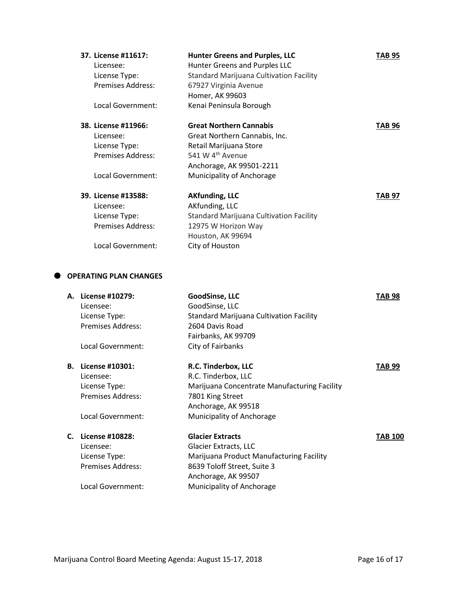| 37. License #11617:      | <b>Hunter Greens and Purples, LLC</b>          | TAB 95 |
|--------------------------|------------------------------------------------|--------|
| Licensee:                | Hunter Greens and Purples LLC                  |        |
| License Type:            | Standard Marijuana Cultivation Facility        |        |
| Premises Address:        | 67927 Virginia Avenue                          |        |
|                          | Homer, AK 99603                                |        |
| Local Government:        | Kenai Peninsula Borough                        |        |
| 38. License #11966:      | <b>Great Northern Cannabis</b>                 | TAB 96 |
| Licensee:                | Great Northern Cannabis, Inc.                  |        |
| License Type:            | Retail Marijuana Store                         |        |
| Premises Address:        | 541 W 4 <sup>th</sup> Avenue                   |        |
|                          | Anchorage, AK 99501-2211                       |        |
| Local Government:        | Municipality of Anchorage                      |        |
| 39. License #13588:      | <b>AKfunding, LLC</b>                          | TAB 97 |
| Licensee:                | AKfunding, LLC                                 |        |
| License Type:            | <b>Standard Marijuana Cultivation Facility</b> |        |
| <b>Premises Address:</b> | 12975 W Horizon Way                            |        |
|                          | Houston, AK 99694                              |        |
| Local Government:        | City of Houston                                |        |

#### **OPERATING PLAN CHANGES**

|    | A. License #10279:<br>Licensee:<br>License Type:<br><b>Premises Address:</b><br>Local Government: | GoodSinse, LLC<br>GoodSinse, LLC<br><b>Standard Marijuana Cultivation Facility</b><br>2604 Davis Road<br>Fairbanks, AK 99709<br>City of Fairbanks                               | TAB 98         |
|----|---------------------------------------------------------------------------------------------------|---------------------------------------------------------------------------------------------------------------------------------------------------------------------------------|----------------|
| В. | License #10301:<br>Licensee:<br>License Type:<br><b>Premises Address:</b><br>Local Government:    | R.C. Tinderbox, LLC<br>R.C. Tinderbox, LLC<br>Marijuana Concentrate Manufacturing Facility<br>7801 King Street<br>Anchorage, AK 99518<br>Municipality of Anchorage              | TAB 99         |
| C. | License #10828:<br>Licensee:<br>License Type:<br><b>Premises Address:</b><br>Local Government:    | <b>Glacier Extracts</b><br>Glacier Extracts, LLC<br>Marijuana Product Manufacturing Facility<br>8639 Toloff Street, Suite 3<br>Anchorage, AK 99507<br>Municipality of Anchorage | <b>TAB 100</b> |